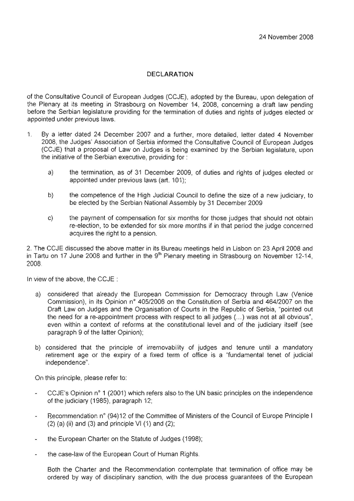## **DECLARATION**

of the Consultative Council of European Judges (CCJE), adopted by the Bureau, upon delegation of the Plenary at its meeting in Sfrasbourg on November 14, 2008, concerning a draft law pending before the Serbian legislature providing for the termination of duties and rights of judges elected or appointed under previous laws.

- 1, By a ietter dated 24 December 2007 and a further, more detailed, letter dated 4 November 2008, the Judges' Association of Serbia informed the Consultative Council of European Judges (CCJE) that a proposal of Law on Judges is being examined by the Serbian legislature, upon the initiative of the Serbian executive, providing for :
	- a) the termination, as of 31 December 2009, of duties and rights of judges elected or appointed under previous laws (art. 101);
	- b) the competence of the High Judicial Council to define the size of a new judiciary, to be elected by the Serbian National Assembly by 31 December 2009
	- c) the payment of compensation for six months for those judges that should not obtain re-election, to be extended for six more months if in that period the judge concerned acquires the right to a pension.

2. The CCJE discussed the above matter in its Bureau meetings held in Lisbon on 23 Aprì! 2008 and in Tartu on 17 June 2008 and further in the  $9<sup>th</sup>$  Pienary meeting in Strasbourg on November 12-14, 2008.

In view of the above, the CCJE :

- a) considered that already the European Commission for Democracy through Law (Venice Commission), in its Opinion n° *405/2006* on the Constitution of Serbia and *464/2007* on the Draft Law on Judges and the Organisation of Courts in 1he Republic of Serbia, "pointed out the need for a re-appointment process with respect to all judges (...) was not at all obvious", even within a context of reforms at the constitutional level and of the judiciary itself (see paragraph 9 of the latter Opinion);
- b) considered that the principle of irremovability of judges and tenure until a mandatory retirement age or the expiry of a fixed term of office is a "fundamental tenet of judicial independence".

On this principle. please refer to:

- CCJE's Opinion n° 1 (2001) which refers also to the UN basic principles on the independence of the judiciary (1985), paragraph 12;
- Recommendation n° (94)12 of the Committee of Ministers of the Council of Europe Principle I  $(2)$  (a) (ii) and (3) and principle VI (1) and (2);
- the European Charter on the Statute of Judges (1998);
- the case-Iaw of the European Court of Human Rights.

Both the Charter and the Recommendation contemplate that termination of office may be ordered by way of disciplinary sanction, with the due process guarantees of the European